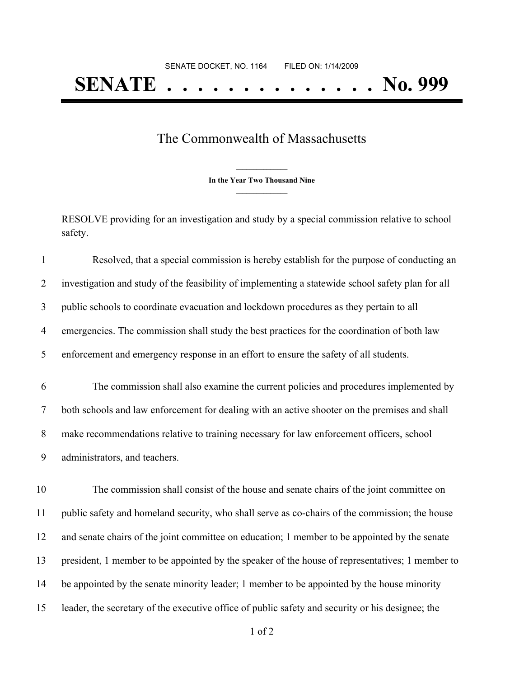## The Commonwealth of Massachusetts

**\_\_\_\_\_\_\_\_\_\_\_\_\_\_\_ In the Year Two Thousand Nine \_\_\_\_\_\_\_\_\_\_\_\_\_\_\_**

RESOLVE providing for an investigation and study by a special commission relative to school safety.

| $\mathbf{1}$   | Resolved, that a special commission is hereby establish for the purpose of conducting an          |
|----------------|---------------------------------------------------------------------------------------------------|
| $\overline{2}$ | investigation and study of the feasibility of implementing a statewide school safety plan for all |
| 3              | public schools to coordinate evacuation and lockdown procedures as they pertain to all            |
| $\overline{4}$ | emergencies. The commission shall study the best practices for the coordination of both law       |
| 5              | enforcement and emergency response in an effort to ensure the safety of all students.             |
| 6              | The commission shall also examine the current policies and procedures implemented by              |
| $\tau$         | both schools and law enforcement for dealing with an active shooter on the premises and shall     |
| $8\,$          | make recommendations relative to training necessary for law enforcement officers, school          |
| 9              | administrators, and teachers.                                                                     |
| 10             | The commission shall consist of the house and senate chairs of the joint committee on             |
| 11             | public safety and homeland security, who shall serve as co-chairs of the commission; the house    |
| 12             | and senate chairs of the joint committee on education; 1 member to be appointed by the senate     |
| 13             | president, 1 member to be appointed by the speaker of the house of representatives; 1 member to   |
| 14             | be appointed by the senate minority leader; 1 member to be appointed by the house minority        |
| 15             | leader, the secretary of the executive office of public safety and security or his designee; the  |